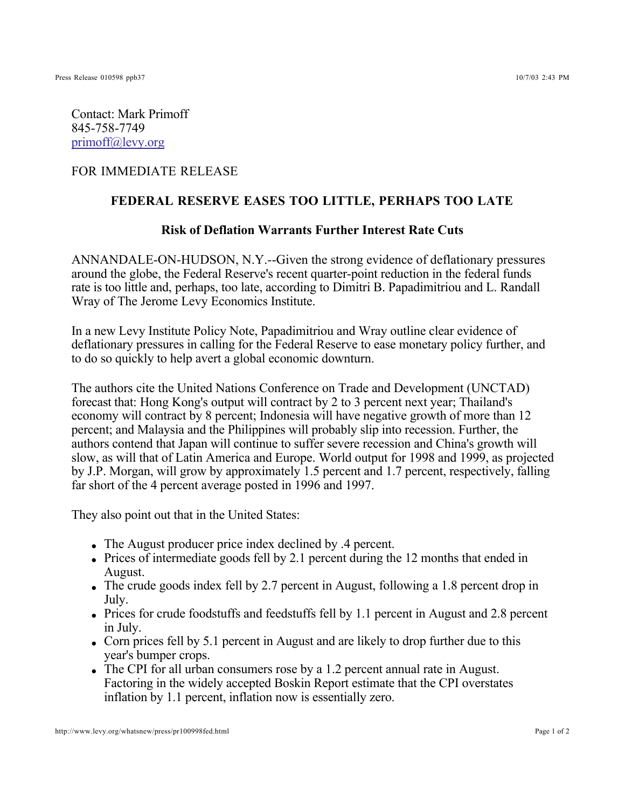Contact: Mark Primoff 845-758-7749 primoff@levy.org

## FOR IMMEDIATE RELEASE

## **FEDERAL RESERVE EASES TOO LITTLE, PERHAPS TOO LATE**

## **Risk of Deflation Warrants Further Interest Rate Cuts**

ANNANDALE-ON-HUDSON, N.Y.--Given the strong evidence of deflationary pressures around the globe, the Federal Reserve's recent quarter-point reduction in the federal funds rate is too little and, perhaps, too late, according to Dimitri B. Papadimitriou and L. Randall Wray of The Jerome Levy Economics Institute.

In a new Levy Institute Policy Note, Papadimitriou and Wray outline clear evidence of deflationary pressures in calling for the Federal Reserve to ease monetary policy further, and to do so quickly to help avert a global economic downturn.

The authors cite the United Nations Conference on Trade and Development (UNCTAD) forecast that: Hong Kong's output will contract by 2 to 3 percent next year; Thailand's economy will contract by 8 percent; Indonesia will have negative growth of more than 12 percent; and Malaysia and the Philippines will probably slip into recession. Further, the authors contend that Japan will continue to suffer severe recession and China's growth will slow, as will that of Latin America and Europe. World output for 1998 and 1999, as projected by J.P. Morgan, will grow by approximately 1.5 percent and 1.7 percent, respectively, falling far short of the 4 percent average posted in 1996 and 1997.

They also point out that in the United States:

- The August producer price index declined by .4 percent.
- Prices of intermediate goods fell by 2.1 percent during the 12 months that ended in August.
- The crude goods index fell by 2.7 percent in August, following a 1.8 percent drop in July.
- Prices for crude foodstuffs and feedstuffs fell by 1.1 percent in August and 2.8 percent in July.
- Corn prices fell by 5.1 percent in August and are likely to drop further due to this year's bumper crops.
- The CPI for all urban consumers rose by a 1.2 percent annual rate in August. Factoring in the widely accepted Boskin Report estimate that the CPI overstates inflation by 1.1 percent, inflation now is essentially zero.